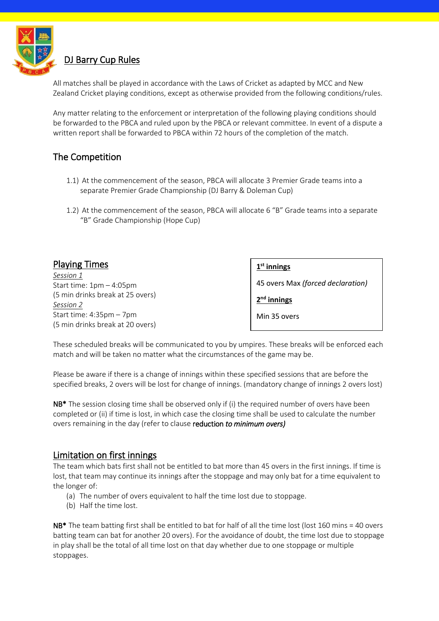

# DJ Barry Cup Rules

All matches shall be played in accordance with the Laws of Cricket as adapted by MCC and New Zealand Cricket playing conditions, except as otherwise provided from the following conditions/rules.

Any matter relating to the enforcement or interpretation of the following playing conditions should be forwarded to the PBCA and ruled upon by the PBCA or relevant committee. In event of a dispute a written report shall be forwarded to PBCA within 72 hours of the completion of the match.

## The Competition

- 1.1) At the commencement of the season, PBCA will allocate 3 Premier Grade teams into a separate Premier Grade Championship (DJ Barry & Doleman Cup)
- 1.2) At the commencement of the season, PBCA will allocate 6 "B" Grade teams into a separate "B" Grade Championship (Hope Cup)

| <b>Playing Times</b>             | $1st$ innings                     |
|----------------------------------|-----------------------------------|
| Session 1                        |                                   |
| Start time: $1pm - 4:05pm$       | 45 overs Max (forced declaration) |
| (5 min drinks break at 25 overs) |                                   |
| Session 2                        | $2nd$ innings                     |
| Start time: $4:35$ pm $-7$ pm    | Min 35 overs                      |
| (5 min drinks break at 20 overs) |                                   |

These scheduled breaks will be communicated to you by umpires. These breaks will be enforced each match and will be taken no matter what the circumstances of the game may be.

Please be aware if there is a change of innings within these specified sessions that are before the specified breaks, 2 overs will be lost for change of innings. (mandatory change of innings 2 overs lost)

NB<sup>\*</sup> The session closing time shall be observed only if (i) the required number of overs have been completed or (ii) if time is lost, in which case the closing time shall be used to calculate the number overs remaining in the day (refer to clause reduction *to minimum overs)*

### Limitation on first innings

The team which bats first shall not be entitled to bat more than 45 overs in the first innings. If time is lost, that team may continue its innings after the stoppage and may only bat for a time equivalent to the longer of:

- (a) The number of overs equivalent to half the time lost due to stoppage.
- (b) Half the time lost.

NB\* The team batting first shall be entitled to bat for half of all the time lost (lost 160 mins = 40 overs batting team can bat for another 20 overs). For the avoidance of doubt, the time lost due to stoppage in play shall be the total of all time lost on that day whether due to one stoppage or multiple stoppages.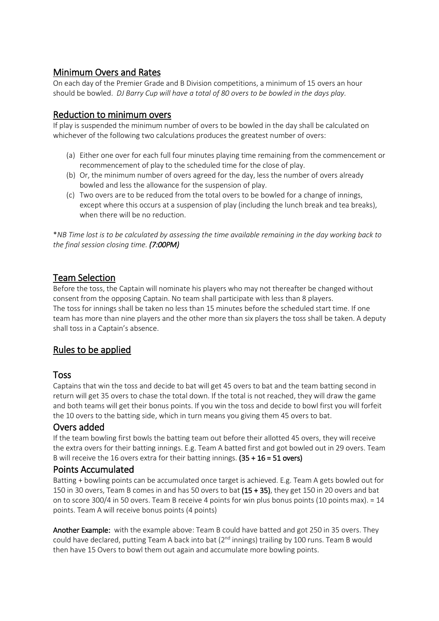### Minimum Overs and Rates

On each day of the Premier Grade and B Division competitions, a minimum of 15 overs an hour should be bowled. *DJ Barry Cup will have a total of 80 overs to be bowled in the days play.*

### Reduction to minimum overs

If play is suspended the minimum number of overs to be bowled in the day shall be calculated on whichever of the following two calculations produces the greatest number of overs:

- (a) Either one over for each full four minutes playing time remaining from the commencement or recommencement of play to the scheduled time for the close of play.
- (b) Or, the minimum number of overs agreed for the day, less the number of overs already bowled and less the allowance for the suspension of play.
- (c) Two overs are to be reduced from the total overs to be bowled for a change of innings, except where this occurs at a suspension of play (including the lunch break and tea breaks), when there will be no reduction.

\*NB Time lost is to be calculated by assessing the time available remaining in the day working back to *the final session closing time. (7:00PM)*

### Team Selection

Before the toss, the Captain will nominate his players who may not thereafter be changed without consent from the opposing Captain. No team shall participate with less than 8 players. The toss for innings shall be taken no less than 15 minutes before the scheduled start time. If one team has more than nine players and the other more than six players the toss shall be taken. A deputy shall toss in a Captain's absence.

## Rules to be applied

### Toss

Captains that win the toss and decide to bat will get 45 overs to bat and the team batting second in return will get 35 overs to chase the total down. If the total is not reached, they will draw the game and both teams will get their bonus points. If you win the toss and decide to bowl first you will forfeit the 10 overs to the batting side, which in turn means you giving them 45 overs to bat.

### Overs added

If the team bowling first bowls the batting team out before their allotted 45 overs, they will receive the extra overs for their batting innings. E.g. Team A batted first and got bowled out in 29 overs. Team B will receive the 16 overs extra for their batting innings.  $(35 + 16 = 51$  overs)

### Points Accumulated

Batting + bowling points can be accumulated once target is achieved. E.g. Team A gets bowled out for 150 in 30 overs, Team B comes in and has 50 overs to bat (15 + 35), they get 150 in 20 overs and bat on to score 300/4 in 50 overs. Team B receive 4 points for win plus bonus points (10 points max). = 14 points. Team A will receive bonus points (4 points)

Another Example: with the example above: Team B could have batted and got 250 in 35 overs. They could have declared, putting Team A back into bat ( $2<sup>nd</sup>$  innings) trailing by 100 runs. Team B would then have 15 Overs to bowl them out again and accumulate more bowling points.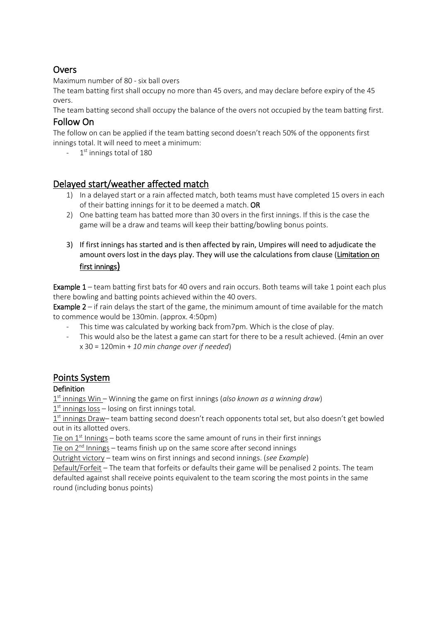# Overs

Maximum number of 80 - six ball overs

The team batting first shall occupy no more than 45 overs, and may declare before expiry of the 45 overs.

The team batting second shall occupy the balance of the overs not occupied by the team batting first.

# Follow On

The follow on can be applied if the team batting second doesn't reach 50% of the opponents first innings total. It will need to meet a minimum:

- 1<sup>st</sup> innings total of 180

# Delayed start/weather affected match

- 1) In a delayed start or a rain affected match, both teams must have completed 15 overs in each of their batting innings for it to be deemed a match. OR
- 2) One batting team has batted more than 30 overs in the first innings. If this is the case the game will be a draw and teams will keep their batting/bowling bonus points.
- 3) If first innings has started and is then affected by rain, Umpires will need to adjudicate the amount overs lost in the days play. They will use the calculations from clause (Limitation on first innings)

Example 1 – team batting first bats for 40 overs and rain occurs. Both teams will take 1 point each plus there bowling and batting points achieved within the 40 overs.

**Example 2** – if rain delays the start of the game, the minimum amount of time available for the match to commence would be 130min. (approx. 4:50pm)

- This time was calculated by working back from7pm. Which is the close of play.
- This would also be the latest a game can start for there to be a result achieved. (4min an over x 30 = 120min + *10 min change over if needed*)

# Points System

### **Definition**

1 st innings Win – Winning the game on first innings (*also known as a winning draw*)

 $1<sup>st</sup>$  innings loss – losing on first innings total.

1<sup>st</sup> innings Draw- team batting second doesn't reach opponents total set, but also doesn't get bowled out in its allotted overs.

Tie on  $1<sup>st</sup>$  Innings – both teams score the same amount of runs in their first innings

Tie on 2<sup>nd</sup> Innings – teams finish up on the same score after second innings

Outright victory – team wins on first innings and second innings. (*see Example*)

Default/Forfeit – The team that forfeits or defaults their game will be penalised 2 points. The team defaulted against shall receive points equivalent to the team scoring the most points in the same round (including bonus points)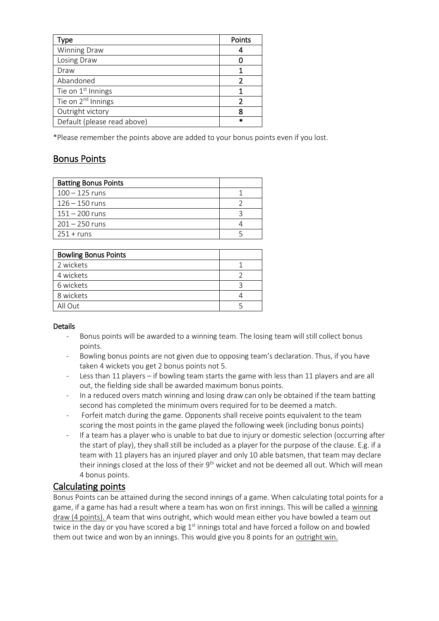| ype                            | Points |
|--------------------------------|--------|
| Winning Draw                   |        |
| Losing Draw                    |        |
| Draw                           |        |
| Abandoned                      |        |
| Tie on 1 <sup>st</sup> Innings |        |
| Tie on 2 <sup>nd</sup> Innings |        |
| Outright victory               | R      |
| Default (please read above)    |        |

\*Please remember the points above are added to your bonus points even if you lost.

# Bonus Points

| <b>Batting Bonus Points</b> |  |
|-----------------------------|--|
| $100 - 125$ runs            |  |
| $126 - 150$ runs            |  |
| $151 - 200$ runs            |  |
| $201 - 250$ runs            |  |
| $251 + runs$                |  |

| <b>Bowling Bonus Points</b> |  |
|-----------------------------|--|
| 2 wickets                   |  |
| 4 wickets                   |  |
| 6 wickets                   |  |
| 8 wickets                   |  |
| All Out                     |  |

#### **Details**

- Bonus points will be awarded to a winning team. The losing team will still collect bonus points.
- Bowling bonus points are not given due to opposing team's declaration. Thus, if you have taken 4 wickets you get 2 bonus points not 5.
- Less than 11 players if bowling team starts the game with less than 11 players and are all out, the fielding side shall be awarded maximum bonus points.
- In a reduced overs match winning and losing draw can only be obtained if the team batting second has completed the minimum overs required for to be deemed a match.
- Forfeit match during the game. Opponents shall receive points equivalent to the team scoring the most points in the game played the following week (including bonus points)
- If a team has a player who is unable to bat due to injury or domestic selection (occurring after the start of play), they shall still be included as a player for the purpose of the clause. E.g. if a team with 11 players has an injured player and only 10 able batsmen, that team may declare their innings closed at the loss of their 9<sup>th</sup> wicket and not be deemed all out. Which will mean 4 bonus points.

### Calculating points

Bonus Points can be attained during the second innings of a game. When calculating total points for a game, if a game has had a result where a team has won on first innings. This will be called a winning draw (4 points). A team that wins outright, which would mean either you have bowled a team out twice in the day or you have scored a big  $1<sup>st</sup>$  innings total and have forced a follow on and bowled them out twice and won by an innings. This would give you 8 points for an outright win.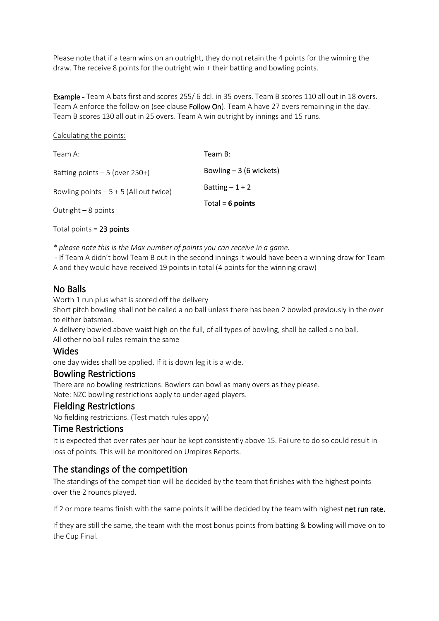Please note that if a team wins on an outright, they do not retain the 4 points for the winning the draw. The receive 8 points for the outright win + their batting and bowling points.

Example - Team A bats first and scores 255/ 6 dcl. in 35 overs. Team B scores 110 all out in 18 overs. Team A enforce the follow on (see clause Follow On). Team A have 27 overs remaining in the day. Team B scores 130 all out in 25 overs. Team A win outright by innings and 15 runs.

#### Calculating the points:

| Team A:                                 | Team B:                  |
|-----------------------------------------|--------------------------|
| Batting points $-5$ (over 250+)         | Bowling $-3$ (6 wickets) |
| Bowling points $-5 + 5$ (All out twice) | Batting $-1+2$           |
| Outright $-8$ points                    | Total = $6$ points       |

Total points = 23 points

*\* please note this is the Max number of points you can receive in a game.*

- If Team A didn't bowl Team B out in the second innings it would have been a winning draw for Team A and they would have received 19 points in total (4 points for the winning draw)

### No Balls

Worth 1 run plus what is scored off the delivery

Short pitch bowling shall not be called a no ball unless there has been 2 bowled previously in the over to either batsman.

A delivery bowled above waist high on the full, of all types of bowling, shall be called a no ball. All other no ball rules remain the same

### Wides

one day wides shall be applied. If it is down leg it is a wide.

#### Bowling Restrictions

There are no bowling restrictions. Bowlers can bowl as many overs as they please. Note: NZC bowling restrictions apply to under aged players.

### Fielding Restrictions

No fielding restrictions. (Test match rules apply)

#### Time Restrictions

It is expected that over rates per hour be kept consistently above 15. Failure to do so could result in loss of points. This will be monitored on Umpires Reports.

### The standings of the competition

The standings of the competition will be decided by the team that finishes with the highest points over the 2 rounds played.

If 2 or more teams finish with the same points it will be decided by the team with highest net run rate.

If they are still the same, the team with the most bonus points from batting & bowling will move on to the Cup Final.